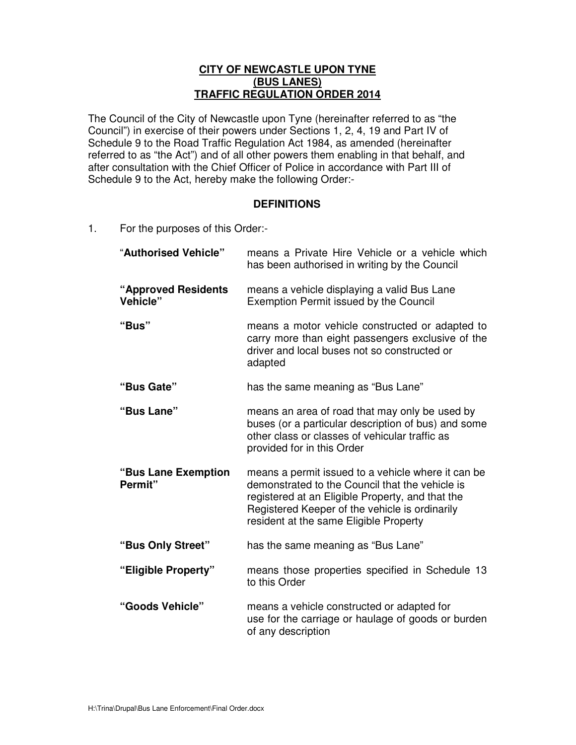## **CITY OF NEWCASTLE UPON TYNE (BUS LANES) TRAFFIC REGULATION ORDER 2014**

 The Council of the City of Newcastle upon Tyne (hereinafter referred to as "the Council") in exercise of their powers under Sections 1, 2, 4, 19 and Part IV of Schedule 9 to the Road Traffic Regulation Act 1984, as amended (hereinafter referred to as "the Act") and of all other powers them enabling in that behalf, and after consultation with the Chief Officer of Police in accordance with Part III of Schedule 9 to the Act, hereby make the following Order:-

## **DEFINITIONS**

 $1.$ For the purposes of this Order:-

| "Authorised Vehicle"            | means a Private Hire Vehicle or a vehicle which<br>has been authorised in writing by the Council                                                                                                                                                      |
|---------------------------------|-------------------------------------------------------------------------------------------------------------------------------------------------------------------------------------------------------------------------------------------------------|
| "Approved Residents<br>Vehicle" | means a vehicle displaying a valid Bus Lane<br><b>Exemption Permit issued by the Council</b>                                                                                                                                                          |
| "Bus"                           | means a motor vehicle constructed or adapted to<br>carry more than eight passengers exclusive of the<br>driver and local buses not so constructed or<br>adapted                                                                                       |
| "Bus Gate"                      | has the same meaning as "Bus Lane"                                                                                                                                                                                                                    |
| "Bus Lane"                      | means an area of road that may only be used by<br>buses (or a particular description of bus) and some<br>other class or classes of vehicular traffic as<br>provided for in this Order                                                                 |
| "Bus Lane Exemption<br>Permit"  | means a permit issued to a vehicle where it can be<br>demonstrated to the Council that the vehicle is<br>registered at an Eligible Property, and that the<br>Registered Keeper of the vehicle is ordinarily<br>resident at the same Eligible Property |
| "Bus Only Street"               | has the same meaning as "Bus Lane"                                                                                                                                                                                                                    |
| "Eligible Property"             | means those properties specified in Schedule 13<br>to this Order                                                                                                                                                                                      |
| "Goods Vehicle"                 | means a vehicle constructed or adapted for<br>use for the carriage or haulage of goods or burden<br>of any description                                                                                                                                |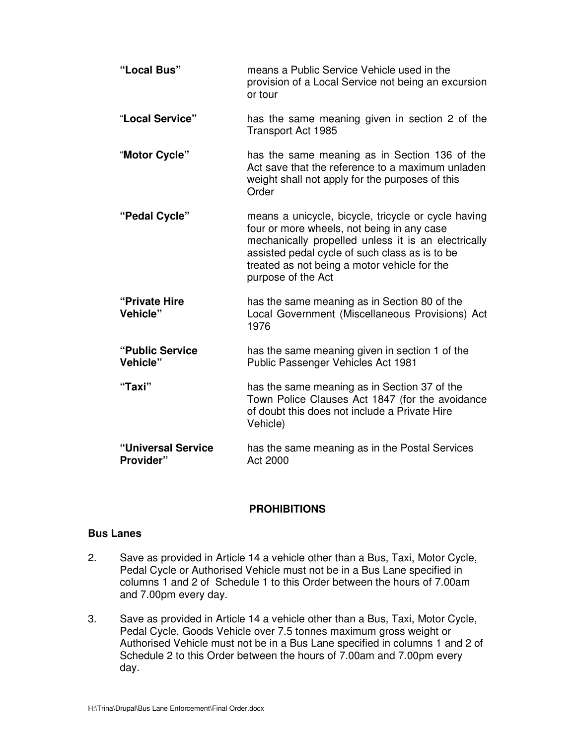| "Local Bus"                     | means a Public Service Vehicle used in the<br>provision of a Local Service not being an excursion<br>or tour                                                                                                                                                                     |
|---------------------------------|----------------------------------------------------------------------------------------------------------------------------------------------------------------------------------------------------------------------------------------------------------------------------------|
| "Local Service"                 | has the same meaning given in section 2 of the<br><b>Transport Act 1985</b>                                                                                                                                                                                                      |
| "Motor Cycle"                   | has the same meaning as in Section 136 of the<br>Act save that the reference to a maximum unladen<br>weight shall not apply for the purposes of this<br>Order                                                                                                                    |
| "Pedal Cycle"                   | means a unicycle, bicycle, tricycle or cycle having<br>four or more wheels, not being in any case<br>mechanically propelled unless it is an electrically<br>assisted pedal cycle of such class as is to be<br>treated as not being a motor vehicle for the<br>purpose of the Act |
| "Private Hire"<br>Vehicle"      | has the same meaning as in Section 80 of the<br>Local Government (Miscellaneous Provisions) Act<br>1976                                                                                                                                                                          |
| "Public Service<br>Vehicle"     | has the same meaning given in section 1 of the<br>Public Passenger Vehicles Act 1981                                                                                                                                                                                             |
| "Taxi"                          | has the same meaning as in Section 37 of the<br>Town Police Clauses Act 1847 (for the avoidance<br>of doubt this does not include a Private Hire<br>Vehicle)                                                                                                                     |
| "Universal Service<br>Provider" | has the same meaning as in the Postal Services<br>Act 2000                                                                                                                                                                                                                       |

# **PROHIBITIONS**

# **Bus Lanes**

- $2.$  Pedal Cycle or Authorised Vehicle must not be in a Bus Lane specified in columns 1 and 2 of Schedule 1 to this Order between the hours of 7.00am Save as provided in Article 14 a vehicle other than a Bus, Taxi, Motor Cycle, and 7.00pm every day.
- 3. Pedal Cycle, Goods Vehicle over 7.5 tonnes maximum gross weight or Authorised Vehicle must not be in a Bus Lane specified in columns 1 and 2 of Schedule 2 to this Order between the hours of 7.00am and 7.00pm every Save as provided in Article 14 a vehicle other than a Bus, Taxi, Motor Cycle, day.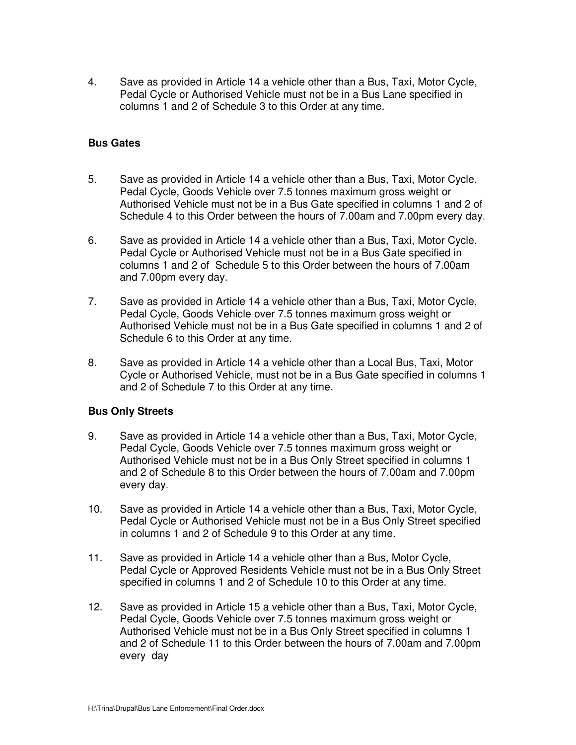4. Pedal Cycle or Authorised Vehicle must not be in a Bus Lane specified in columns 1 and 2 of Schedule 3 to this Order at any time. Save as provided in Article 14 a vehicle other than a Bus, Taxi, Motor Cycle,

#### **Bus Gates**

- 5. Pedal Cycle, Goods Vehicle over 7.5 tonnes maximum gross weight or Authorised Vehicle must not be in a Bus Gate specified in columns 1 and 2 of Schedule 4 to this Order between the hours of 7.00am and 7.00pm every day. 5. Save as provided in Article 14 a vehicle other than a Bus, Taxi, Motor Cycle,
- 6. Pedal Cycle or Authorised Vehicle must not be in a Bus Gate specified in columns 1 and 2 of Schedule 5 to this Order between the hours of 7.00am 6. Save as provided in Article 14 a vehicle other than a Bus, Taxi, Motor Cycle, and 7.00pm every day.
- $7<sub>1</sub>$  Pedal Cycle, Goods Vehicle over 7.5 tonnes maximum gross weight or Authorised Vehicle must not be in a Bus Gate specified in columns 1 and 2 of Schedule 6 to this Order at any time. Save as provided in Article 14 a vehicle other than a Bus, Taxi, Motor Cycle,
- 8. Cycle or Authorised Vehicle, must not be in a Bus Gate specified in columns 1 8. Save as provided in Article 14 a vehicle other than a Local Bus, Taxi, Motor and 2 of Schedule 7 to this Order at any time.

## **Bus Only Streets**

- 9. Pedal Cycle, Goods Vehicle over 7.5 tonnes maximum gross weight or Authorised Vehicle must not be in a Bus Only Street specified in columns 1 every day. 9. Save as provided in Article 14 a vehicle other than a Bus, Taxi, Motor Cycle, and 2 of Schedule 8 to this Order between the hours of 7.00am and 7.00pm
- $10<sub>1</sub>$  Pedal Cycle or Authorised Vehicle must not be in a Bus Only Street specified in columns 1 and 2 of Schedule 9 to this Order at any time. Save as provided in Article 14 a vehicle other than a Bus, Taxi, Motor Cycle,
- $11.$  Pedal Cycle or Approved Residents Vehicle must not be in a Bus Only Street specified in columns 1 and 2 of Schedule 10 to this Order at any time. Save as provided in Article 14 a vehicle other than a Bus, Motor Cycle,
- $12.$  Pedal Cycle, Goods Vehicle over 7.5 tonnes maximum gross weight or Authorised Vehicle must not be in a Bus Only Street specified in columns 1 every day 12. Save as provided in Article 15 a vehicle other than a Bus, Taxi, Motor Cycle, and 2 of Schedule 11 to this Order between the hours of 7.00am and 7.00pm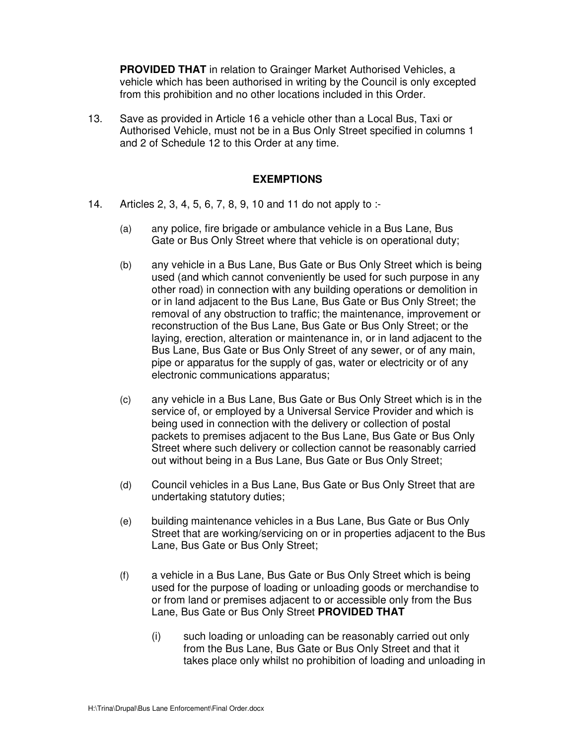**PROVIDED THAT** in relation to Grainger Market Authorised Vehicles, a vehicle which has been authorised in writing by the Council is only excepted from this prohibition and no other locations included in this Order.

 $13.$  Authorised Vehicle, must not be in a Bus Only Street specified in columns 1 Save as provided in Article 16 a vehicle other than a Local Bus, Taxi or and 2 of Schedule 12 to this Order at any time.

## **EXEMPTIONS**

- $14$ Articles 2, 3, 4, 5, 6, 7, 8, 9, 10 and 11 do not apply to :-
	- $(a)$  Gate or Bus Only Street where that vehicle is on operational duty; any police, fire brigade or ambulance vehicle in a Bus Lane, Bus
	- reconstruction of the Bus Lane, Bus Gate or Bus Only Street; or the electronic communications apparatus; (b) any vehicle in a Bus Lane, Bus Gate or Bus Only Street which is being used (and which cannot conveniently be used for such purpose in any other road) in connection with any building operations or demolition in or in land adjacent to the Bus Lane, Bus Gate or Bus Only Street; the removal of any obstruction to traffic; the maintenance, improvement or laying, erection, alteration or maintenance in, or in land adjacent to the Bus Lane, Bus Gate or Bus Only Street of any sewer, or of any main, pipe or apparatus for the supply of gas, water or electricity or of any
	- (c) any vehicle in a Bus Lane, Bus Gate or Bus Only Street which is in the service of, or employed by a Universal Service Provider and which is being used in connection with the delivery or collection of postal packets to premises adjacent to the Bus Lane, Bus Gate or Bus Only Street where such delivery or collection cannot be reasonably carried out without being in a Bus Lane, Bus Gate or Bus Only Street;
	- (d) Council vehicles in a Bus Lane, Bus Gate or Bus Only Street that are undertaking statutory duties;
	- (e) building maintenance vehicles in a Bus Lane, Bus Gate or Bus Only Street that are working/servicing on or in properties adjacent to the Bus Lane, Bus Gate or Bus Only Street;
	- (f) a vehicle in a Bus Lane, Bus Gate or Bus Only Street which is being used for the purpose of loading or unloading goods or merchandise to or from land or premises adjacent to or accessible only from the Bus Lane, Bus Gate or Bus Only Street **PROVIDED THAT** 
		- (i) such loading or unloading can be reasonably carried out only from the Bus Lane, Bus Gate or Bus Only Street and that it takes place only whilst no prohibition of loading and unloading in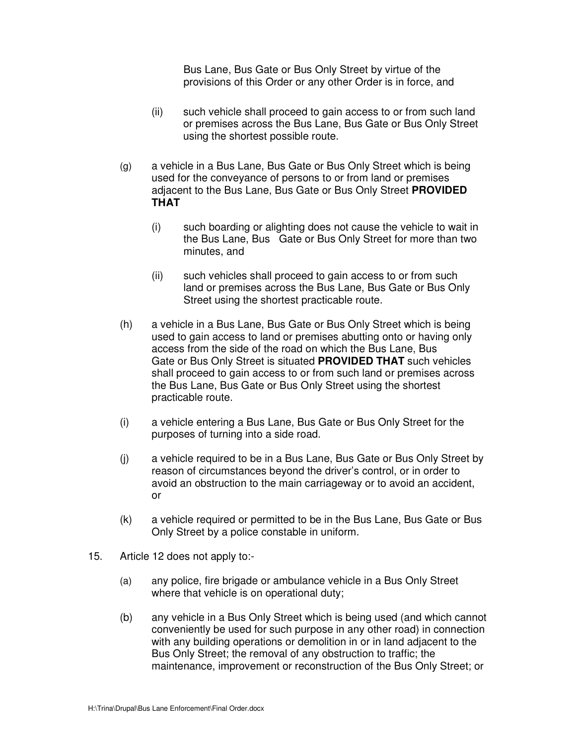Bus Lane, Bus Gate or Bus Only Street by virtue of the provisions of this Order or any other Order is in force, and

- $(ii)$  or premises across the Bus Lane, Bus Gate or Bus Only Street using the shortest possible route. such vehicle shall proceed to gain access to or from such land
- (g) a vehicle in a Bus Lane, Bus Gate or Bus Only Street which is being used for the conveyance of persons to or from land or premises adjacent to the Bus Lane, Bus Gate or Bus Only Street **PROVIDED THAT** 
	- $(i)$ such boarding or alighting does not cause the vehicle to wait in the Bus Lane, Bus Gate or Bus Only Street for more than two minutes, and
	- (ii) such vehicles shall proceed to gain access to or from such land or premises across the Bus Lane, Bus Gate or Bus Only Street using the shortest practicable route.
- (h) a vehicle in a Bus Lane, Bus Gate or Bus Only Street which is being used to gain access to land or premises abutting onto or having only access from the side of the road on which the Bus Lane, Bus Gate or Bus Only Street is situated **PROVIDED THAT** such vehicles shall proceed to gain access to or from such land or premises across the Bus Lane, Bus Gate or Bus Only Street using the shortest practicable route.
- $(i)$  purposes of turning into a side road. a vehicle entering a Bus Lane, Bus Gate or Bus Only Street for the
- $(i)$ a vehicle required to be in a Bus Lane, Bus Gate or Bus Only Street by reason of circumstances beyond the driver's control, or in order to avoid an obstruction to the main carriageway or to avoid an accident, or
- $(k)$ a vehicle required or permitted to be in the Bus Lane, Bus Gate or Bus Only Street by a police constable in uniform.
- $15.$ Article 12 does not apply to:-
	- (a) any police, fire brigade or ambulance vehicle in a Bus Only Street where that vehicle is on operational duty;
	- $(b)$  conveniently be used for such purpose in any other road) in connection maintenance, improvement or reconstruction of the Bus Only Street; or any vehicle in a Bus Only Street which is being used (and which cannot with any building operations or demolition in or in land adjacent to the Bus Only Street; the removal of any obstruction to traffic; the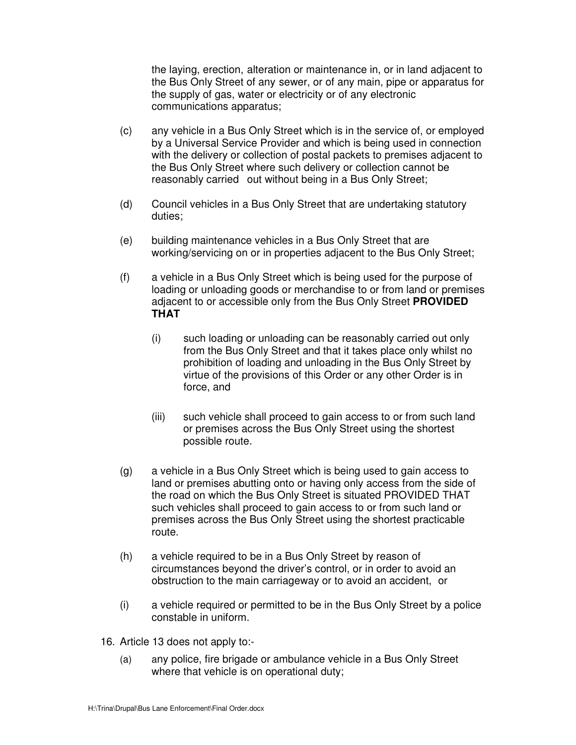communications apparatus; the laying, erection, alteration or maintenance in, or in land adjacent to the Bus Only Street of any sewer, or of any main, pipe or apparatus for the supply of gas, water or electricity or of any electronic

- $(c)$  reasonably carried out without being in a Bus Only Street; any vehicle in a Bus Only Street which is in the service of, or employed by a Universal Service Provider and which is being used in connection with the delivery or collection of postal packets to premises adjacent to the Bus Only Street where such delivery or collection cannot be
- $(d)$ Council vehicles in a Bus Only Street that are undertaking statutory duties;
- $(e)$  working/servicing on or in properties adjacent to the Bus Only Street; building maintenance vehicles in a Bus Only Street that are
- $(f)$  loading or unloading goods or merchandise to or from land or premises adjacent to or accessible only from the Bus Only Street **PROVIDED**  a vehicle in a Bus Only Street which is being used for the purpose of **THAT** 
	- (i) such loading or unloading can be reasonably carried out only from the Bus Only Street and that it takes place only whilst no prohibition of loading and unloading in the Bus Only Street by virtue of the provisions of this Order or any other Order is in force, and
	- $(iii)$  or premises across the Bus Only Street using the shortest possible route. such vehicle shall proceed to gain access to or from such land
- (g) a vehicle in a Bus Only Street which is being used to gain access to land or premises abutting onto or having only access from the side of the road on which the Bus Only Street is situated PROVIDED THAT such vehicles shall proceed to gain access to or from such land or premises across the Bus Only Street using the shortest practicable route.
- $(h)$  circumstances beyond the driver's control, or in order to avoid an obstruction to the main carriageway or to avoid an accident, or a vehicle required to be in a Bus Only Street by reason of
- $(i)$  constable in uniform. a vehicle required or permitted to be in the Bus Only Street by a police
- 16. Article 13 does not apply to:-
	- (a) any police, fire brigade or ambulance vehicle in a Bus Only Street where that vehicle is on operational duty;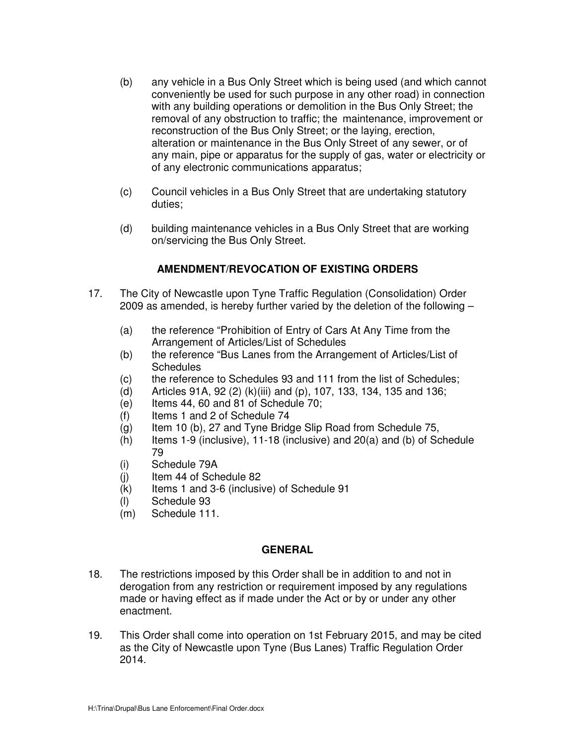- $(b)$  conveniently be used for such purpose in any other road) in connection removal of any obstruction to traffic; the maintenance, improvement or reconstruction of the Bus Only Street; or the laying, erection, alteration or maintenance in the Bus Only Street of any sewer, or of any vehicle in a Bus Only Street which is being used (and which cannot with any building operations or demolition in the Bus Only Street; the any main, pipe or apparatus for the supply of gas, water or electricity or of any electronic communications apparatus;
- (c) Council vehicles in a Bus Only Street that are undertaking statutory duties;
- $(d)$  on/servicing the Bus Only Street. building maintenance vehicles in a Bus Only Street that are working

# **AMENDMENT/REVOCATION OF EXISTING ORDERS**

- $17.$ The City of Newcastle upon Tyne Traffic Regulation (Consolidation) Order 2009 as amended, is hereby further varied by the deletion of the following –
	- $(a)$  Arrangement of Articles/List of Schedules the reference "Prohibition of Entry of Cars At Any Time from the
	- $(b)$ the reference "Bus Lanes from the Arrangement of Articles/List of **Schedules**
	- $(C)$ the reference to Schedules 93 and 111 from the list of Schedules;
	- $(d)$ (d) Articles 91A, 92 (2) (k)(iii) and (p), 107, 133, 134, 135 and 136;
	- $(e)$ Items 44, 60 and 81 of Schedule 70;
	- $(f)$ Items 1 and 2 of Schedule 74
	- $(g)$ Item 10 (b), 27 and Tyne Bridge Slip Road from Schedule 75,
	- $(h)$ Items 1-9 (inclusive), 11-18 (inclusive) and  $20(a)$  and (b) of Schedule 79
	- (i) Schedule 79A
	- $(i)$ Item 44 of Schedule 82
	- $(k)$ Items 1 and 3-6 (inclusive) of Schedule 91
	- (l) Schedule 93
	- (m) Schedule 111.

#### **GENERAL**

- $18.$  derogation from any restriction or requirement imposed by any regulations made or having effect as if made under the Act or by or under any other The restrictions imposed by this Order shall be in addition to and not in enactment.
- 2014. H:\Trina\Drupal\Bus Lane Enforcement\Final Order.docx 19. 2014. 19. This Order shall come into operation on 1st February 2015, and may be cited as the City of Newcastle upon Tyne (Bus Lanes) Traffic Regulation Order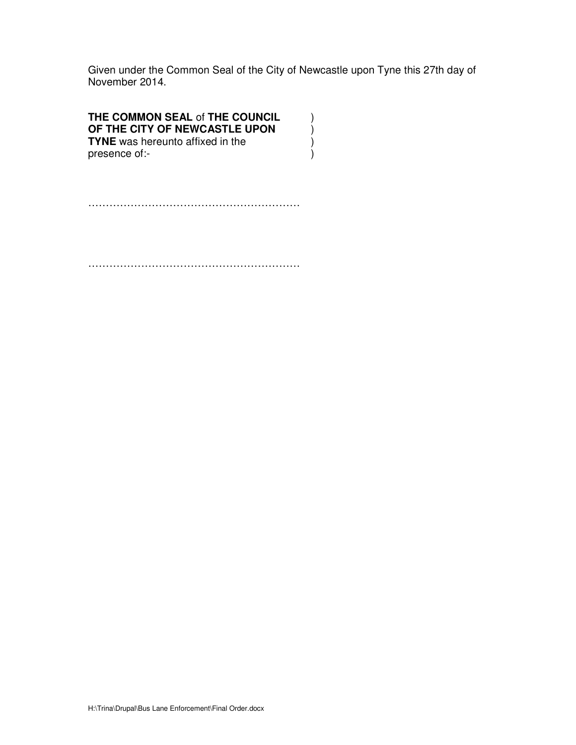Given under the Common Seal of the City of Newcastle upon Tyne this 27th day of November 2014.

## **THE COMMON SEAL** of **THE COUNCIL** )  **OF THE CITY OF NEWCASTLE UPON** ) **TYNE** was hereunto affixed in the ) presence of:-  $\qquad \qquad )$

……………………………………………………

……………………………………………………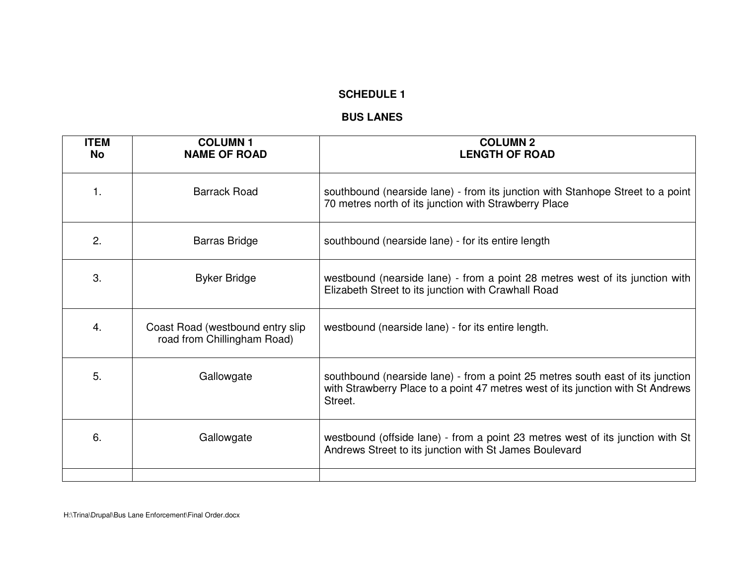#### **BUS LANES**

| <b>ITEM</b><br><b>No</b> | <b>COLUMN1</b><br><b>NAME OF ROAD</b>                           | <b>COLUMN 2</b><br><b>LENGTH OF ROAD</b>                                                                                                                                     |
|--------------------------|-----------------------------------------------------------------|------------------------------------------------------------------------------------------------------------------------------------------------------------------------------|
| 1.                       | <b>Barrack Road</b>                                             | southbound (nearside lane) - from its junction with Stanhope Street to a point<br>70 metres north of its junction with Strawberry Place                                      |
| 2.                       | <b>Barras Bridge</b>                                            | southbound (nearside lane) - for its entire length                                                                                                                           |
| 3.                       | <b>Byker Bridge</b>                                             | westbound (nearside lane) - from a point 28 metres west of its junction with<br>Elizabeth Street to its junction with Crawhall Road                                          |
| 4.                       | Coast Road (westbound entry slip<br>road from Chillingham Road) | westbound (nearside lane) - for its entire length.                                                                                                                           |
| 5.                       | Gallowgate                                                      | southbound (nearside lane) - from a point 25 metres south east of its junction<br>with Strawberry Place to a point 47 metres west of its junction with St Andrews<br>Street. |
| 6.                       | Gallowgate                                                      | westbound (offside lane) - from a point 23 metres west of its junction with St<br>Andrews Street to its junction with St James Boulevard                                     |
|                          |                                                                 |                                                                                                                                                                              |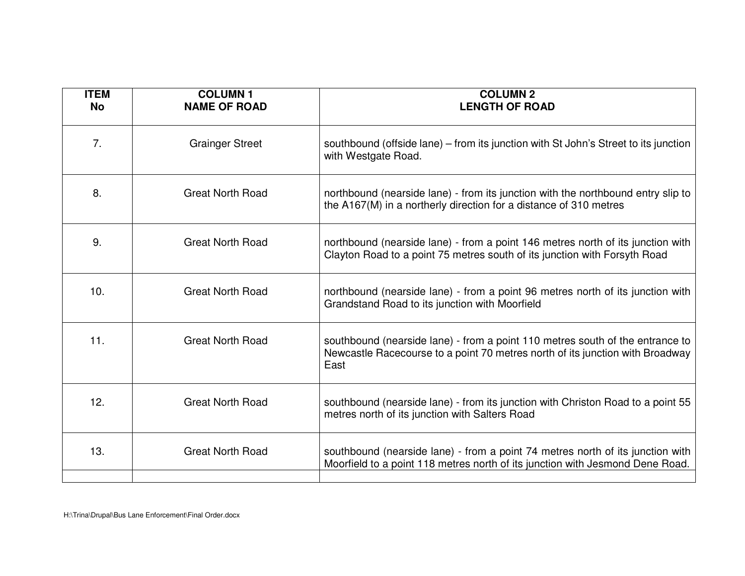| <b>ITEM</b><br><b>No</b> | <b>COLUMN1</b><br><b>NAME OF ROAD</b> | <b>COLUMN 2</b><br><b>LENGTH OF ROAD</b>                                                                                                                               |
|--------------------------|---------------------------------------|------------------------------------------------------------------------------------------------------------------------------------------------------------------------|
| 7.                       | <b>Grainger Street</b>                | southbound (offside lane) – from its junction with St John's Street to its junction<br>with Westgate Road.                                                             |
| 8.                       | <b>Great North Road</b>               | northbound (nearside lane) - from its junction with the northbound entry slip to<br>the A167(M) in a northerly direction for a distance of 310 metres                  |
| 9.                       | <b>Great North Road</b>               | northbound (nearside lane) - from a point 146 metres north of its junction with<br>Clayton Road to a point 75 metres south of its junction with Forsyth Road           |
| 10.                      | <b>Great North Road</b>               | northbound (nearside lane) - from a point 96 metres north of its junction with<br>Grandstand Road to its junction with Moorfield                                       |
| 11.                      | <b>Great North Road</b>               | southbound (nearside lane) - from a point 110 metres south of the entrance to<br>Newcastle Racecourse to a point 70 metres north of its junction with Broadway<br>East |
| 12.                      | <b>Great North Road</b>               | southbound (nearside lane) - from its junction with Christon Road to a point 55<br>metres north of its junction with Salters Road                                      |
| 13.                      | <b>Great North Road</b>               | southbound (nearside lane) - from a point 74 metres north of its junction with<br>Moorfield to a point 118 metres north of its junction with Jesmond Dene Road.        |
|                          |                                       |                                                                                                                                                                        |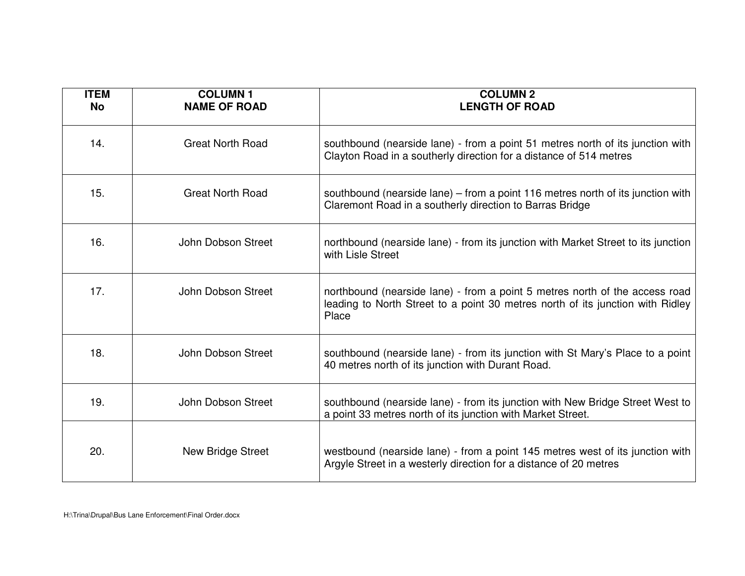| <b>ITEM</b><br><b>No</b> | <b>COLUMN1</b><br><b>NAME OF ROAD</b> | <b>COLUMN 2</b><br><b>LENGTH OF ROAD</b>                                                                                                                               |
|--------------------------|---------------------------------------|------------------------------------------------------------------------------------------------------------------------------------------------------------------------|
| 14.                      | <b>Great North Road</b>               | southbound (nearside lane) - from a point 51 metres north of its junction with<br>Clayton Road in a southerly direction for a distance of 514 metres                   |
| 15.                      | <b>Great North Road</b>               | southbound (nearside lane) – from a point 116 metres north of its junction with<br>Claremont Road in a southerly direction to Barras Bridge                            |
| 16.                      | John Dobson Street                    | northbound (nearside lane) - from its junction with Market Street to its junction<br>with Lisle Street                                                                 |
| 17.                      | John Dobson Street                    | northbound (nearside lane) - from a point 5 metres north of the access road<br>leading to North Street to a point 30 metres north of its junction with Ridley<br>Place |
| 18.                      | John Dobson Street                    | southbound (nearside lane) - from its junction with St Mary's Place to a point<br>40 metres north of its junction with Durant Road.                                    |
| 19.                      | John Dobson Street                    | southbound (nearside lane) - from its junction with New Bridge Street West to<br>a point 33 metres north of its junction with Market Street.                           |
| 20.                      | New Bridge Street                     | westbound (nearside lane) - from a point 145 metres west of its junction with<br>Argyle Street in a westerly direction for a distance of 20 metres                     |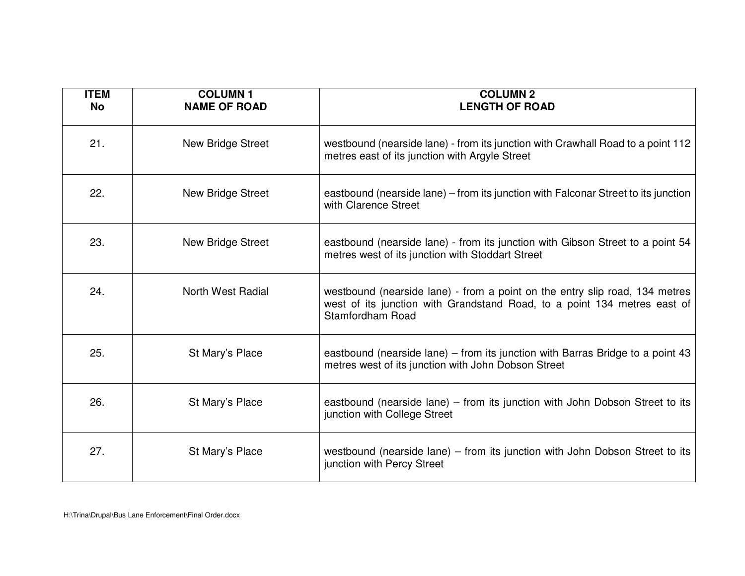| <b>ITEM</b><br><b>No</b> | <b>COLUMN1</b><br><b>NAME OF ROAD</b> | <b>COLUMN 2</b><br><b>LENGTH OF ROAD</b>                                                                                                                                    |
|--------------------------|---------------------------------------|-----------------------------------------------------------------------------------------------------------------------------------------------------------------------------|
| 21.                      | <b>New Bridge Street</b>              | westbound (nearside lane) - from its junction with Crawhall Road to a point 112<br>metres east of its junction with Argyle Street                                           |
| 22.                      | New Bridge Street                     | eastbound (nearside lane) – from its junction with Falconar Street to its junction<br>with Clarence Street                                                                  |
| 23.                      | New Bridge Street                     | eastbound (nearside lane) - from its junction with Gibson Street to a point 54<br>metres west of its junction with Stoddart Street                                          |
| 24.                      | <b>North West Radial</b>              | westbound (nearside lane) - from a point on the entry slip road, 134 metres<br>west of its junction with Grandstand Road, to a point 134 metres east of<br>Stamfordham Road |
| 25.                      | St Mary's Place                       | eastbound (nearside lane) – from its junction with Barras Bridge to a point 43<br>metres west of its junction with John Dobson Street                                       |
| 26.                      | St Mary's Place                       | eastbound (nearside lane) – from its junction with John Dobson Street to its<br>junction with College Street                                                                |
| 27.                      | St Mary's Place                       | westbound (nearside lane) – from its junction with John Dobson Street to its<br>junction with Percy Street                                                                  |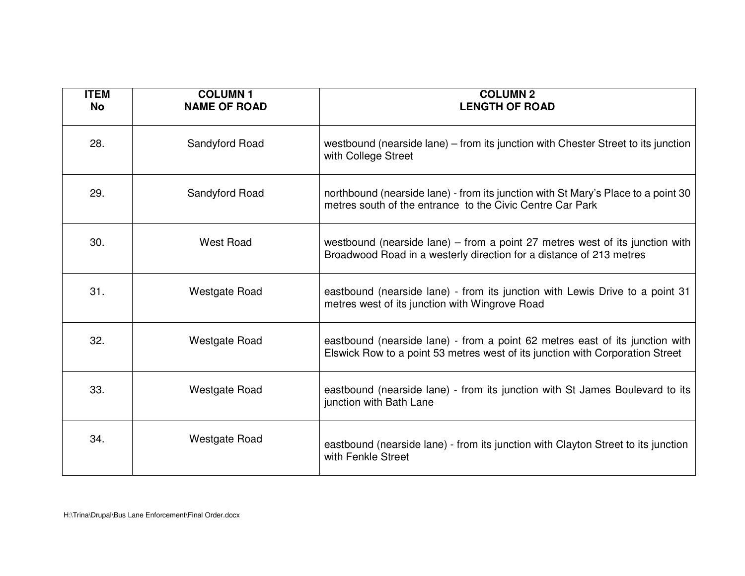| <b>ITEM</b><br><b>No</b> | <b>COLUMN1</b><br><b>NAME OF ROAD</b> | <b>COLUMN 2</b><br><b>LENGTH OF ROAD</b>                                                                                                                      |
|--------------------------|---------------------------------------|---------------------------------------------------------------------------------------------------------------------------------------------------------------|
| 28.                      | Sandyford Road                        | westbound (nearside lane) – from its junction with Chester Street to its junction<br>with College Street                                                      |
| 29.                      | Sandyford Road                        | northbound (nearside lane) - from its junction with St Mary's Place to a point 30<br>metres south of the entrance to the Civic Centre Car Park                |
| 30.                      | <b>West Road</b>                      | westbound (nearside lane) $-$ from a point 27 metres west of its junction with<br>Broadwood Road in a westerly direction for a distance of 213 metres         |
| 31.                      | <b>Westgate Road</b>                  | eastbound (nearside lane) - from its junction with Lewis Drive to a point 31<br>metres west of its junction with Wingrove Road                                |
| 32.                      | <b>Westgate Road</b>                  | eastbound (nearside lane) - from a point 62 metres east of its junction with<br>Elswick Row to a point 53 metres west of its junction with Corporation Street |
| 33.                      | <b>Westgate Road</b>                  | eastbound (nearside lane) - from its junction with St James Boulevard to its<br>junction with Bath Lane                                                       |
| 34.                      | <b>Westgate Road</b>                  | eastbound (nearside lane) - from its junction with Clayton Street to its junction<br>with Fenkle Street                                                       |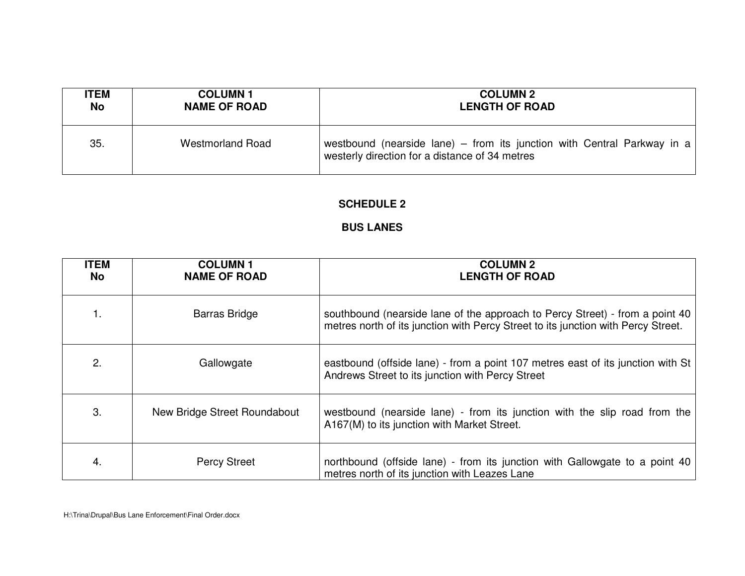| <b>ITEM</b> | <b>COLUMN1</b>          | <b>COLUMN 2</b>                                                                                                           |
|-------------|-------------------------|---------------------------------------------------------------------------------------------------------------------------|
| No          | <b>NAME OF ROAD</b>     | <b>LENGTH OF ROAD</b>                                                                                                     |
| 35.         | <b>Westmorland Road</b> | westbound (nearside lane) – from its junction with Central Parkway in a<br>westerly direction for a distance of 34 metres |

# **BUS LANES**

| <b>ITEM</b><br>No | <b>COLUMN1</b><br><b>NAME OF ROAD</b> | <b>COLUMN 2</b><br><b>LENGTH OF ROAD</b>                                                                                                                          |
|-------------------|---------------------------------------|-------------------------------------------------------------------------------------------------------------------------------------------------------------------|
|                   | <b>Barras Bridge</b>                  | southbound (nearside lane of the approach to Percy Street) - from a point 40<br>metres north of its junction with Percy Street to its junction with Percy Street. |
| 2.                | Gallowgate                            | eastbound (offside lane) - from a point 107 metres east of its junction with St<br>Andrews Street to its junction with Percy Street                               |
| 3.                | New Bridge Street Roundabout          | westbound (nearside lane) - from its junction with the slip road from the<br>A167(M) to its junction with Market Street.                                          |
| 4.                | <b>Percy Street</b>                   | northbound (offside lane) - from its junction with Gallowgate to a point 40<br>metres north of its junction with Leazes Lane                                      |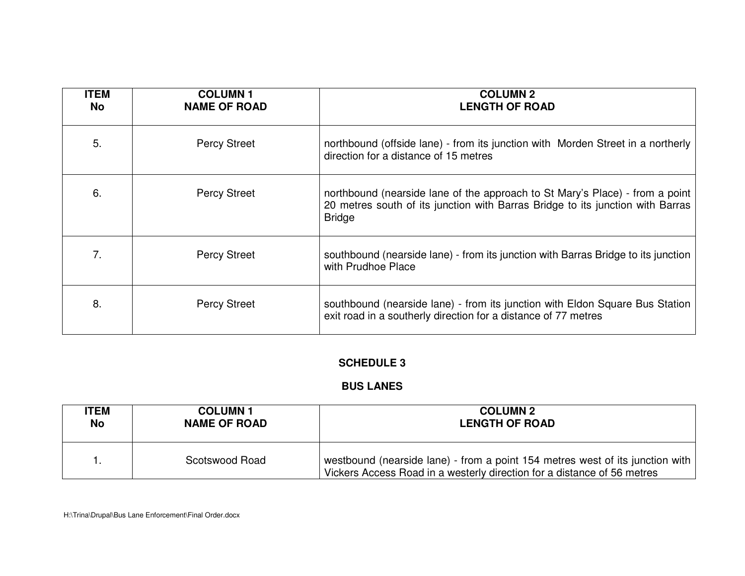| <b>ITEM</b><br><b>No</b> | <b>COLUMN1</b><br><b>NAME OF ROAD</b> | <b>COLUMN 2</b><br><b>LENGTH OF ROAD</b>                                                                                                                                        |
|--------------------------|---------------------------------------|---------------------------------------------------------------------------------------------------------------------------------------------------------------------------------|
| 5.                       | <b>Percy Street</b>                   | northbound (offside lane) - from its junction with Morden Street in a northerly<br>direction for a distance of 15 metres                                                        |
| 6.                       | <b>Percy Street</b>                   | northbound (nearside lane of the approach to St Mary's Place) - from a point<br>20 metres south of its junction with Barras Bridge to its junction with Barras<br><b>Bridge</b> |
| 7.                       | <b>Percy Street</b>                   | southbound (nearside lane) - from its junction with Barras Bridge to its junction<br>with Prudhoe Place                                                                         |
| 8.                       | <b>Percy Street</b>                   | southbound (nearside lane) - from its junction with Eldon Square Bus Station<br>exit road in a southerly direction for a distance of 77 metres                                  |

# **BUS LANES**

| <b>TEM</b> | <b>COLUMN1</b>      | <b>COLUMN 2</b>                                                                                                                                          |
|------------|---------------------|----------------------------------------------------------------------------------------------------------------------------------------------------------|
| No         | <b>NAME OF ROAD</b> | <b>LENGTH OF ROAD</b>                                                                                                                                    |
|            | Scotswood Road      | westbound (nearside lane) - from a point 154 metres west of its junction with<br>Vickers Access Road in a westerly direction for a distance of 56 metres |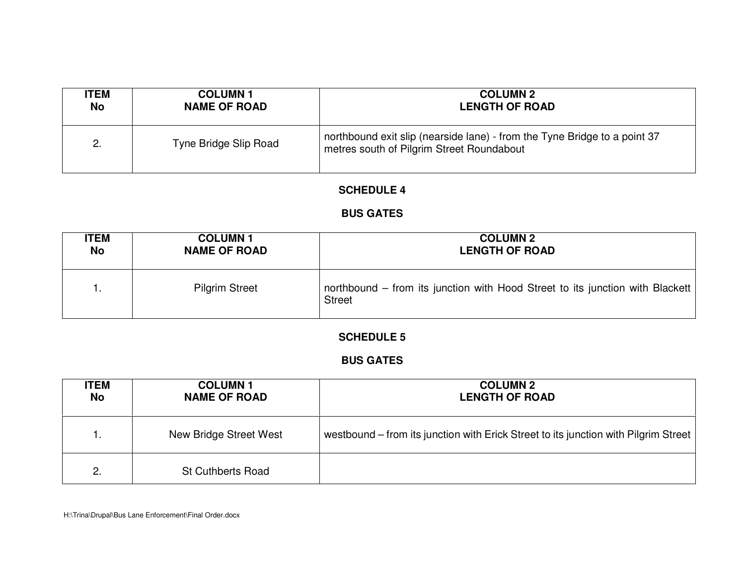| <b>ITEM</b> | <b>COLUMN1</b>        | <b>COLUMN 2</b>                                                                                                        |
|-------------|-----------------------|------------------------------------------------------------------------------------------------------------------------|
| No          | <b>NAME OF ROAD</b>   | <b>LENGTH OF ROAD</b>                                                                                                  |
| 2.          | Tyne Bridge Slip Road | northbound exit slip (nearside lane) - from the Tyne Bridge to a point 37<br>metres south of Pilgrim Street Roundabout |

## **BUS GATES**

| <b>ITEM</b> | <b>COLUMN1</b>        | <b>COLUMN 2</b>                                                                                |
|-------------|-----------------------|------------------------------------------------------------------------------------------------|
| No          | <b>NAME OF ROAD</b>   | <b>LENGTH OF ROAD</b>                                                                          |
|             | <b>Pilgrim Street</b> | northbound – from its junction with Hood Street to its junction with Blackett<br><b>Street</b> |

## **SCHEDULE 5**

## **BUS GATES**

| <b>ITEM</b><br>No | <b>COLUMN1</b><br><b>NAME OF ROAD</b> | <b>COLUMN 2</b><br><b>LENGTH OF ROAD</b>                                            |
|-------------------|---------------------------------------|-------------------------------------------------------------------------------------|
| 1.                | New Bridge Street West                | westbound – from its junction with Erick Street to its junction with Pilgrim Street |
| 2.                | <b>St Cuthberts Road</b>              |                                                                                     |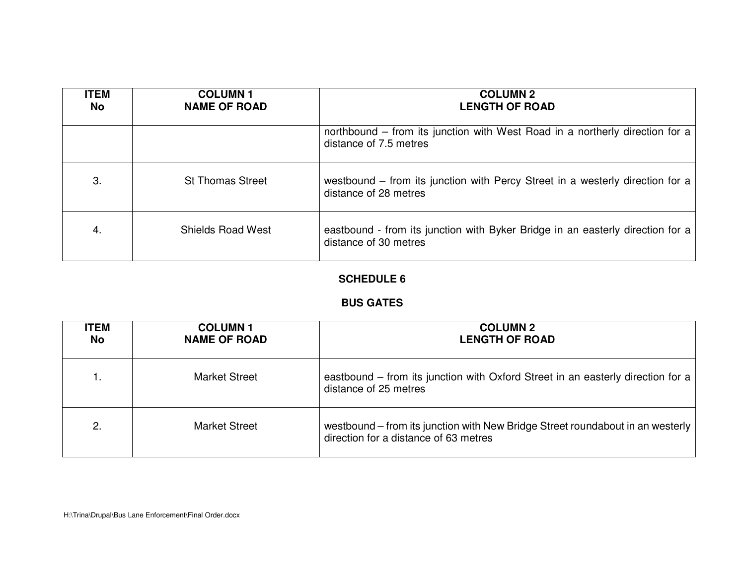| <b>ITEM</b><br>No | <b>COLUMN1</b><br><b>NAME OF ROAD</b> | <b>COLUMN 2</b><br><b>LENGTH OF ROAD</b>                                                                |
|-------------------|---------------------------------------|---------------------------------------------------------------------------------------------------------|
|                   |                                       | northbound – from its junction with West Road in a northerly direction for a<br>distance of 7.5 metres  |
| 3.                | <b>St Thomas Street</b>               | westbound – from its junction with Percy Street in a westerly direction for a<br>distance of 28 metres  |
| 4.                | <b>Shields Road West</b>              | eastbound - from its junction with Byker Bridge in an easterly direction for a<br>distance of 30 metres |

## **BUS GATES**

| <b>ITEM</b><br>No | <b>COLUMN1</b><br><b>NAME OF ROAD</b> | <b>COLUMN 2</b><br><b>LENGTH OF ROAD</b>                                                                                |
|-------------------|---------------------------------------|-------------------------------------------------------------------------------------------------------------------------|
| 1.                | Market Street                         | eastbound – from its junction with Oxford Street in an easterly direction for a<br>distance of 25 metres                |
| 2.                | Market Street                         | westbound – from its junction with New Bridge Street roundabout in an westerly<br>direction for a distance of 63 metres |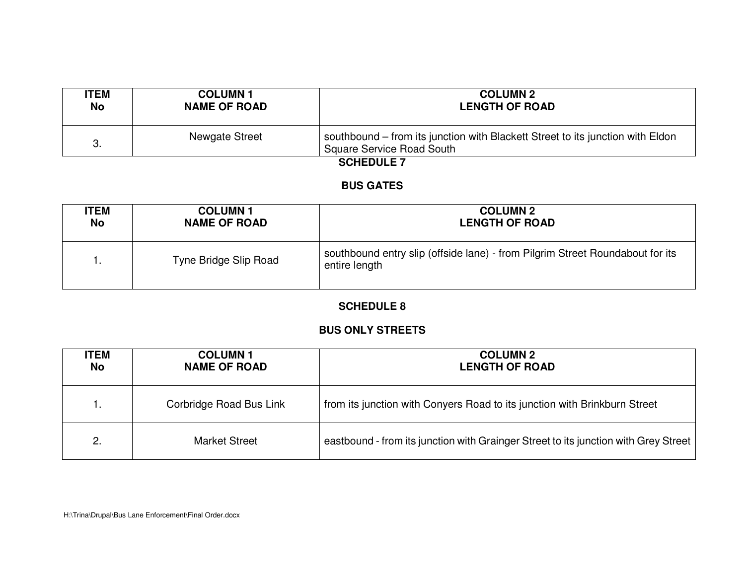| <b>ITEM</b> | <b>COLUMN1</b>      | <b>COLUMN 2</b>                                                                                             |
|-------------|---------------------|-------------------------------------------------------------------------------------------------------------|
| No          | <b>NAME OF ROAD</b> | <b>LENGTH OF ROAD</b>                                                                                       |
|             | Newgate Street      | southbound – from its junction with Blackett Street to its junction with Eldon<br>Square Service Road South |

#### **BUS GATES**

| <b>ITEM</b> | <b>COLUMN1</b>        | <b>COLUMN 2</b>                                                                                |
|-------------|-----------------------|------------------------------------------------------------------------------------------------|
| <b>No</b>   | <b>NAME OF ROAD</b>   | <b>LENGTH OF ROAD</b>                                                                          |
|             | Tyne Bridge Slip Road | southbound entry slip (offside lane) - from Pilgrim Street Roundabout for its<br>entire length |

## **SCHEDULE 8**

## **BUS ONLY STREETS**

| <b>ITEM</b><br>No | <b>COLUMN1</b><br><b>NAME OF ROAD</b> | <b>COLUMN 2</b><br><b>LENGTH OF ROAD</b>                                            |
|-------------------|---------------------------------------|-------------------------------------------------------------------------------------|
| . .               | Corbridge Road Bus Link               | from its junction with Conyers Road to its junction with Brinkburn Street           |
| 2.                | <b>Market Street</b>                  | eastbound - from its junction with Grainger Street to its junction with Grey Street |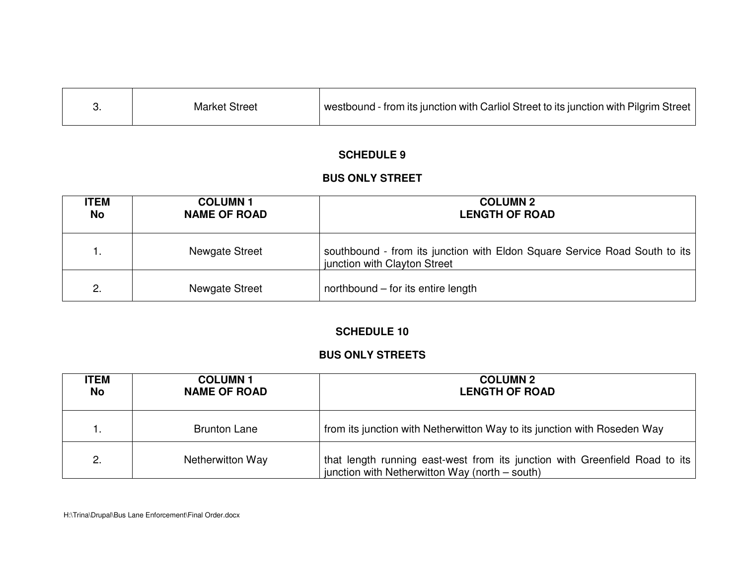| westbound - from its junction with Carliol Street to its junction with Pilgrim Street $ $<br><b>Market Street</b> |
|-------------------------------------------------------------------------------------------------------------------|
|-------------------------------------------------------------------------------------------------------------------|

#### **BUS ONLY STREET**

| <b>ITEM</b><br>No | <b>COLUMN1</b><br><b>NAME OF ROAD</b> | <b>COLUMN 2</b><br><b>LENGTH OF ROAD</b>                                                                   |
|-------------------|---------------------------------------|------------------------------------------------------------------------------------------------------------|
| 1.                | Newgate Street                        | southbound - from its junction with Eldon Square Service Road South to its<br>junction with Clayton Street |
| 2.                | Newgate Street                        | northbound – for its entire length                                                                         |

#### **SCHEDULE 10**

#### **BUS ONLY STREETS**

| <b>ITEM</b><br><b>No</b> | <b>COLUMN1</b><br><b>NAME OF ROAD</b> | <b>COLUMN 2</b><br><b>LENGTH OF ROAD</b>                                                                                      |
|--------------------------|---------------------------------------|-------------------------------------------------------------------------------------------------------------------------------|
| 1.                       | <b>Brunton Lane</b>                   | from its junction with Netherwitton Way to its junction with Roseden Way                                                      |
| 2.                       | Netherwitton Way                      | that length running east-west from its junction with Greenfield Road to its<br>junction with Netherwitton Way (north – south) |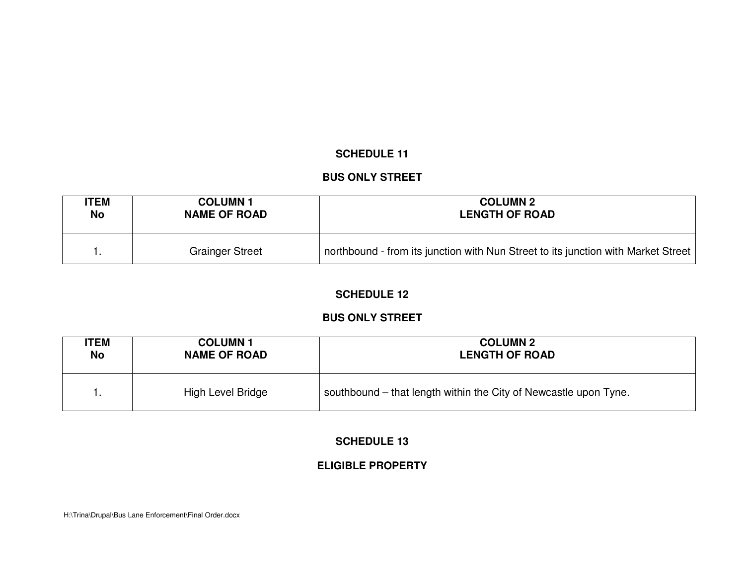## **BUS ONLY STREET**

| <b>ITEM</b> | <b>COLUMN1</b>         | <b>COLUMN 2</b>                                                                   |
|-------------|------------------------|-----------------------------------------------------------------------------------|
| No          | <b>NAME OF ROAD</b>    | <b>LENGTH OF ROAD</b>                                                             |
|             | <b>Grainger Street</b> | northbound - from its junction with Nun Street to its junction with Market Street |

# **SCHEDULE 12**

## **BUS ONLY STREET**

| <b>ITEM</b> | <b>COLUMN1</b>      | <b>COLUMN 2</b>                                                  |
|-------------|---------------------|------------------------------------------------------------------|
| <b>No</b>   | <b>NAME OF ROAD</b> | <b>LENGTH OF ROAD</b>                                            |
| ι.          | High Level Bridge   | southbound – that length within the City of Newcastle upon Tyne. |

## **SCHEDULE 13**

# **ELIGIBLE PROPERTY**